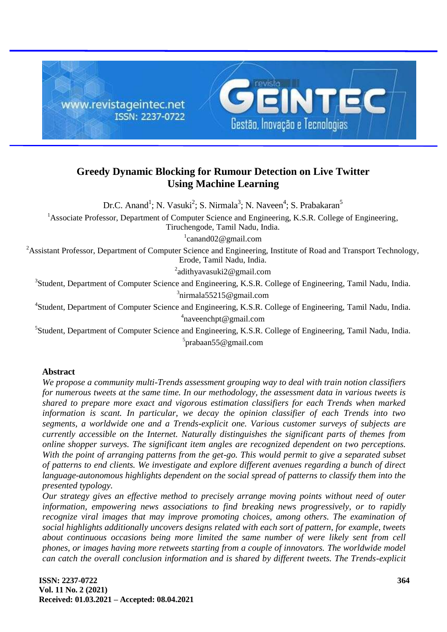

# **Greedy Dynamic Blocking for Rumour Detection on Live Twitter Using Machine Learning**

Dr.C. Anand<sup>1</sup>; N. Vasuki<sup>2</sup>; S. Nirmala<sup>3</sup>; N. Naveen<sup>4</sup>; S. Prabakaran<sup>5</sup>

<sup>1</sup>Associate Professor, Department of Computer Science and Engineering, K.S.R. College of Engineering,

Tiruchengode, Tamil Nadu, India.

1 canand02@gmail.com

<sup>2</sup>Assistant Professor, Department of Computer Science and Engineering, Institute of Road and Transport Technology, Erode, Tamil Nadu, India.

<sup>2</sup>adithyavasuki2@gmail.com

<sup>3</sup>Student, Department of Computer Science and Engineering, K.S.R. College of Engineering, Tamil Nadu, India. 3 nirmala55215@gmail.com

<sup>4</sup>Student, Department of Computer Science and Engineering, K.S.R. College of Engineering, Tamil Nadu, India. 4 naveenchpt@gmail.com

<sup>5</sup>Student, Department of Computer Science and Engineering, K.S.R. College of Engineering, Tamil Nadu, India. <sup>5</sup>prabaan55@gmail.com

# **Abstract**

*We propose a community multi-Trends assessment grouping way to deal with train notion classifiers for numerous tweets at the same time. In our methodology, the assessment data in various tweets is shared to prepare more exact and vigorous estimation classifiers for each Trends when marked information is scant. In particular, we decay the opinion classifier of each Trends into two segments, a worldwide one and a Trends-explicit one. Various customer surveys of subjects are currently accessible on the Internet. Naturally distinguishes the significant parts of themes from online shopper surveys. The significant item angles are recognized dependent on two perceptions. With the point of arranging patterns from the get-go. This would permit to give a separated subset of patterns to end clients. We investigate and explore different avenues regarding a bunch of direct language-autonomous highlights dependent on the social spread of patterns to classify them into the presented typology.*

*Our strategy gives an effective method to precisely arrange moving points without need of outer information, empowering news associations to find breaking news progressively, or to rapidly recognize viral images that may improve promoting choices, among others. The examination of social highlights additionally uncovers designs related with each sort of pattern, for example, tweets about continuous occasions being more limited the same number of were likely sent from cell phones, or images having more retweets starting from a couple of innovators. The worldwide model can catch the overall conclusion information and is shared by different tweets. The Trends-explicit*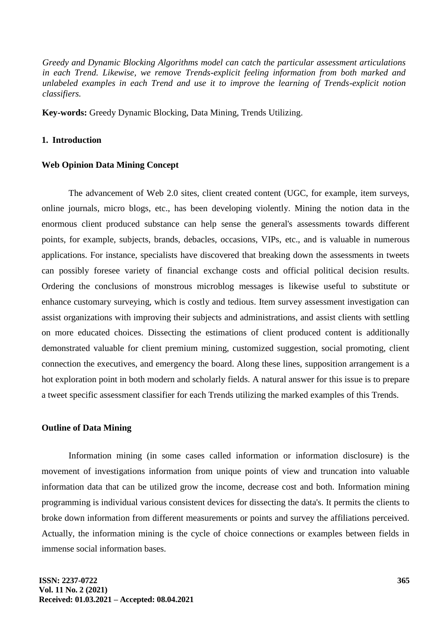*Greedy and Dynamic Blocking Algorithms model can catch the particular assessment articulations in each Trend. Likewise, we remove Trends-explicit feeling information from both marked and unlabeled examples in each Trend and use it to improve the learning of Trends-explicit notion classifiers.*

**Key-words:** Greedy Dynamic Blocking, Data Mining, Trends Utilizing.

### **1. Introduction**

#### **Web Opinion Data Mining Concept**

The advancement of Web 2.0 sites, client created content (UGC, for example, item surveys, online journals, micro blogs, etc., has been developing violently. Mining the notion data in the enormous client produced substance can help sense the general's assessments towards different points, for example, subjects, brands, debacles, occasions, VIPs, etc., and is valuable in numerous applications. For instance, specialists have discovered that breaking down the assessments in tweets can possibly foresee variety of financial exchange costs and official political decision results. Ordering the conclusions of monstrous microblog messages is likewise useful to substitute or enhance customary surveying, which is costly and tedious. Item survey assessment investigation can assist organizations with improving their subjects and administrations, and assist clients with settling on more educated choices. Dissecting the estimations of client produced content is additionally demonstrated valuable for client premium mining, customized suggestion, social promoting, client connection the executives, and emergency the board. Along these lines, supposition arrangement is a hot exploration point in both modern and scholarly fields. A natural answer for this issue is to prepare a tweet specific assessment classifier for each Trends utilizing the marked examples of this Trends.

#### **Outline of Data Mining**

Information mining (in some cases called information or information disclosure) is the movement of investigations information from unique points of view and truncation into valuable information data that can be utilized grow the income, decrease cost and both. Information mining programming is individual various consistent devices for dissecting the data's. It permits the clients to broke down information from different measurements or points and survey the affiliations perceived. Actually, the information mining is the cycle of choice connections or examples between fields in immense social information bases.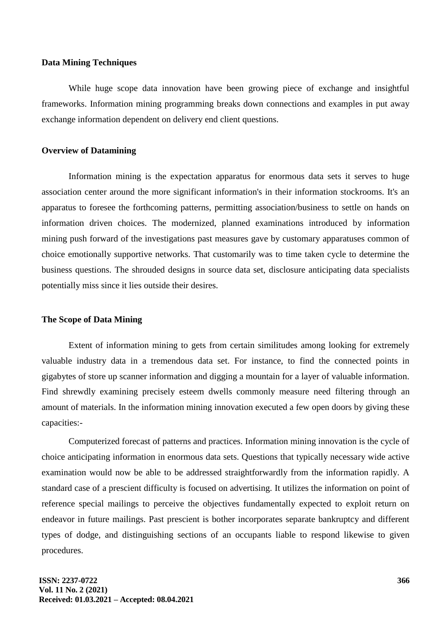#### **Data Mining Techniques**

While huge scope data innovation have been growing piece of exchange and insightful frameworks. Information mining programming breaks down connections and examples in put away exchange information dependent on delivery end client questions.

#### **Overview of Datamining**

Information mining is the expectation apparatus for enormous data sets it serves to huge association center around the more significant information's in their information stockrooms. It's an apparatus to foresee the forthcoming patterns, permitting association/business to settle on hands on information driven choices. The modernized, planned examinations introduced by information mining push forward of the investigations past measures gave by customary apparatuses common of choice emotionally supportive networks. That customarily was to time taken cycle to determine the business questions. The shrouded designs in source data set, disclosure anticipating data specialists potentially miss since it lies outside their desires.

### **The Scope of Data Mining**

Extent of information mining to gets from certain similitudes among looking for extremely valuable industry data in a tremendous data set. For instance, to find the connected points in gigabytes of store up scanner information and digging a mountain for a layer of valuable information. Find shrewdly examining precisely esteem dwells commonly measure need filtering through an amount of materials. In the information mining innovation executed a few open doors by giving these capacities:-

Computerized forecast of patterns and practices. Information mining innovation is the cycle of choice anticipating information in enormous data sets. Questions that typically necessary wide active examination would now be able to be addressed straightforwardly from the information rapidly. A standard case of a prescient difficulty is focused on advertising. It utilizes the information on point of reference special mailings to perceive the objectives fundamentally expected to exploit return on endeavor in future mailings. Past prescient is bother incorporates separate bankruptcy and different types of dodge, and distinguishing sections of an occupants liable to respond likewise to given procedures.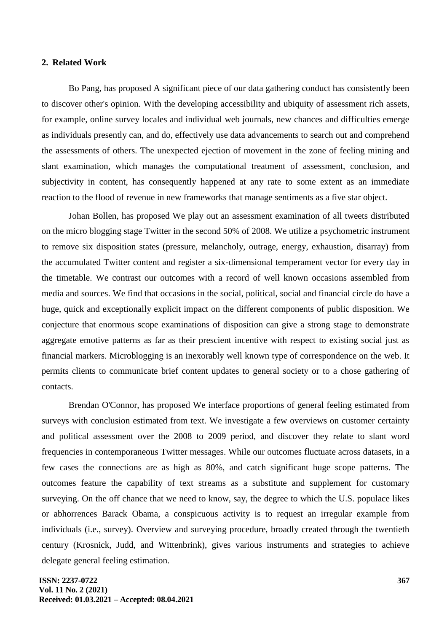#### **2. Related Work**

Bo Pang, has proposed A significant piece of our data gathering conduct has consistently been to discover other's opinion. With the developing accessibility and ubiquity of assessment rich assets, for example, online survey locales and individual web journals, new chances and difficulties emerge as individuals presently can, and do, effectively use data advancements to search out and comprehend the assessments of others. The unexpected ejection of movement in the zone of feeling mining and slant examination, which manages the computational treatment of assessment, conclusion, and subjectivity in content, has consequently happened at any rate to some extent as an immediate reaction to the flood of revenue in new frameworks that manage sentiments as a five star object.

Johan Bollen, has proposed We play out an assessment examination of all tweets distributed on the micro blogging stage Twitter in the second 50% of 2008. We utilize a psychometric instrument to remove six disposition states (pressure, melancholy, outrage, energy, exhaustion, disarray) from the accumulated Twitter content and register a six-dimensional temperament vector for every day in the timetable. We contrast our outcomes with a record of well known occasions assembled from media and sources. We find that occasions in the social, political, social and financial circle do have a huge, quick and exceptionally explicit impact on the different components of public disposition. We conjecture that enormous scope examinations of disposition can give a strong stage to demonstrate aggregate emotive patterns as far as their prescient incentive with respect to existing social just as financial markers. Microblogging is an inexorably well known type of correspondence on the web. It permits clients to communicate brief content updates to general society or to a chose gathering of contacts.

Brendan O'Connor, has proposed We interface proportions of general feeling estimated from surveys with conclusion estimated from text. We investigate a few overviews on customer certainty and political assessment over the 2008 to 2009 period, and discover they relate to slant word frequencies in contemporaneous Twitter messages. While our outcomes fluctuate across datasets, in a few cases the connections are as high as 80%, and catch significant huge scope patterns. The outcomes feature the capability of text streams as a substitute and supplement for customary surveying. On the off chance that we need to know, say, the degree to which the U.S. populace likes or abhorrences Barack Obama, a conspicuous activity is to request an irregular example from individuals (i.e., survey). Overview and surveying procedure, broadly created through the twentieth century (Krosnick, Judd, and Wittenbrink), gives various instruments and strategies to achieve delegate general feeling estimation.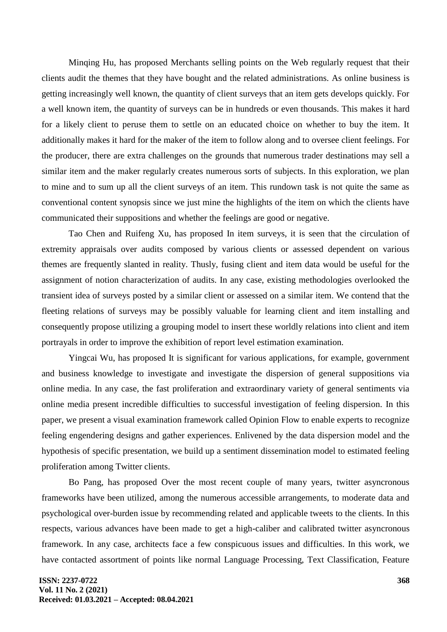Minqing Hu, has proposed Merchants selling points on the Web regularly request that their clients audit the themes that they have bought and the related administrations. As online business is getting increasingly well known, the quantity of client surveys that an item gets develops quickly. For a well known item, the quantity of surveys can be in hundreds or even thousands. This makes it hard for a likely client to peruse them to settle on an educated choice on whether to buy the item. It additionally makes it hard for the maker of the item to follow along and to oversee client feelings. For the producer, there are extra challenges on the grounds that numerous trader destinations may sell a similar item and the maker regularly creates numerous sorts of subjects. In this exploration, we plan to mine and to sum up all the client surveys of an item. This rundown task is not quite the same as conventional content synopsis since we just mine the highlights of the item on which the clients have communicated their suppositions and whether the feelings are good or negative.

Tao Chen and Ruifeng Xu, has proposed In item surveys, it is seen that the circulation of extremity appraisals over audits composed by various clients or assessed dependent on various themes are frequently slanted in reality. Thusly, fusing client and item data would be useful for the assignment of notion characterization of audits. In any case, existing methodologies overlooked the transient idea of surveys posted by a similar client or assessed on a similar item. We contend that the fleeting relations of surveys may be possibly valuable for learning client and item installing and consequently propose utilizing a grouping model to insert these worldly relations into client and item portrayals in order to improve the exhibition of report level estimation examination.

Yingcai Wu, has proposed It is significant for various applications, for example, government and business knowledge to investigate and investigate the dispersion of general suppositions via online media. In any case, the fast proliferation and extraordinary variety of general sentiments via online media present incredible difficulties to successful investigation of feeling dispersion. In this paper, we present a visual examination framework called Opinion Flow to enable experts to recognize feeling engendering designs and gather experiences. Enlivened by the data dispersion model and the hypothesis of specific presentation, we build up a sentiment dissemination model to estimated feeling proliferation among Twitter clients.

Bo Pang, has proposed Over the most recent couple of many years, twitter asyncronous frameworks have been utilized, among the numerous accessible arrangements, to moderate data and psychological over-burden issue by recommending related and applicable tweets to the clients. In this respects, various advances have been made to get a high-caliber and calibrated twitter asyncronous framework. In any case, architects face a few conspicuous issues and difficulties. In this work, we have contacted assortment of points like normal Language Processing, Text Classification, Feature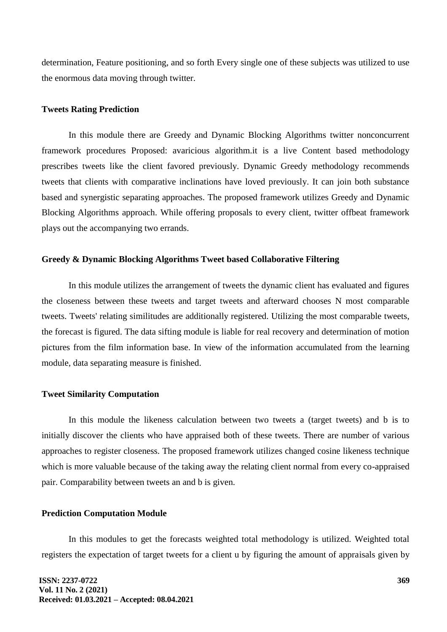determination, Feature positioning, and so forth Every single one of these subjects was utilized to use the enormous data moving through twitter.

#### **Tweets Rating Prediction**

In this module there are Greedy and Dynamic Blocking Algorithms twitter nonconcurrent framework procedures Proposed: avaricious algorithm.it is a live Content based methodology prescribes tweets like the client favored previously. Dynamic Greedy methodology recommends tweets that clients with comparative inclinations have loved previously. It can join both substance based and synergistic separating approaches. The proposed framework utilizes Greedy and Dynamic Blocking Algorithms approach. While offering proposals to every client, twitter offbeat framework plays out the accompanying two errands.

#### **Greedy & Dynamic Blocking Algorithms Tweet based Collaborative Filtering**

In this module utilizes the arrangement of tweets the dynamic client has evaluated and figures the closeness between these tweets and target tweets and afterward chooses N most comparable tweets. Tweets' relating similitudes are additionally registered. Utilizing the most comparable tweets, the forecast is figured. The data sifting module is liable for real recovery and determination of motion pictures from the film information base. In view of the information accumulated from the learning module, data separating measure is finished.

#### **Tweet Similarity Computation**

In this module the likeness calculation between two tweets a (target tweets) and b is to initially discover the clients who have appraised both of these tweets. There are number of various approaches to register closeness. The proposed framework utilizes changed cosine likeness technique which is more valuable because of the taking away the relating client normal from every co-appraised pair. Comparability between tweets an and b is given.

#### **Prediction Computation Module**

In this modules to get the forecasts weighted total methodology is utilized. Weighted total registers the expectation of target tweets for a client u by figuring the amount of appraisals given by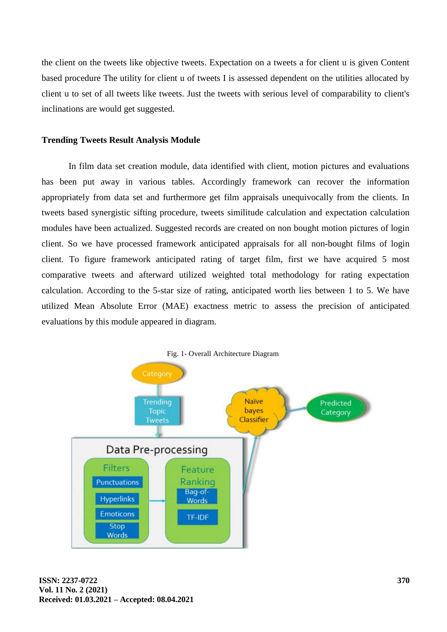the client on the tweets like objective tweets. Expectation on a tweets a for client u is given Content based procedure The utility for client u of tweets I is assessed dependent on the utilities allocated by client u to set of all tweets like tweets. Just the tweets with serious level of comparability to client's inclinations are would get suggested.

# **Trending Tweets Result Analysis Module**

In film data set creation module, data identified with client, motion pictures and evaluations has been put away in various tables. Accordingly framework can recover the information appropriately from data set and furthermore get film appraisals unequivocally from the clients. In tweets based synergistic sifting procedure, tweets similitude calculation and expectation calculation modules have been actualized. Suggested records are created on non bought motion pictures of login client. So we have processed framework anticipated appraisals for all non-bought films of login client. To figure framework anticipated rating of target film, first we have acquired 5 most comparative tweets and afterward utilized weighted total methodology for rating expectation calculation. According to the 5-star size of rating, anticipated worth lies between 1 to 5. We have utilized Mean Absolute Error (MAE) exactness metric to assess the precision of anticipated evaluations by this module appeared in diagram.

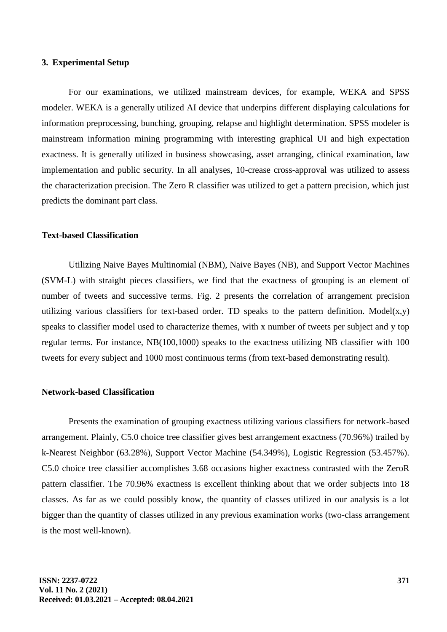#### **3. Experimental Setup**

For our examinations, we utilized mainstream devices, for example, WEKA and SPSS modeler. WEKA is a generally utilized AI device that underpins different displaying calculations for information preprocessing, bunching, grouping, relapse and highlight determination. SPSS modeler is mainstream information mining programming with interesting graphical UI and high expectation exactness. It is generally utilized in business showcasing, asset arranging, clinical examination, law implementation and public security. In all analyses, 10-crease cross-approval was utilized to assess the characterization precision. The Zero R classifier was utilized to get a pattern precision, which just predicts the dominant part class.

# **Text-based Classification**

Utilizing Naive Bayes Multinomial (NBM), Naive Bayes (NB), and Support Vector Machines (SVM-L) with straight pieces classifiers, we find that the exactness of grouping is an element of number of tweets and successive terms. Fig. 2 presents the correlation of arrangement precision utilizing various classifiers for text-based order. TD speaks to the pattern definition. Model $(x,y)$ speaks to classifier model used to characterize themes, with x number of tweets per subject and y top regular terms. For instance, NB(100,1000) speaks to the exactness utilizing NB classifier with 100 tweets for every subject and 1000 most continuous terms (from text-based demonstrating result).

# **Network-based Classification**

Presents the examination of grouping exactness utilizing various classifiers for network-based arrangement. Plainly, C5.0 choice tree classifier gives best arrangement exactness (70.96%) trailed by k-Nearest Neighbor (63.28%), Support Vector Machine (54.349%), Logistic Regression (53.457%). C5.0 choice tree classifier accomplishes 3.68 occasions higher exactness contrasted with the ZeroR pattern classifier. The 70.96% exactness is excellent thinking about that we order subjects into 18 classes. As far as we could possibly know, the quantity of classes utilized in our analysis is a lot bigger than the quantity of classes utilized in any previous examination works (two-class arrangement is the most well-known).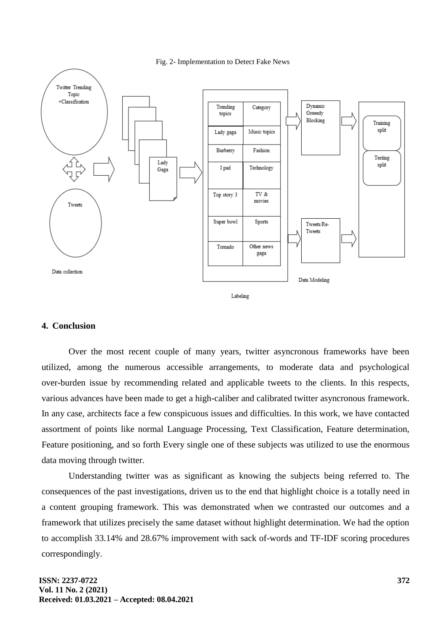



#### Labeling

# **4. Conclusion**

Over the most recent couple of many years, twitter asyncronous frameworks have been utilized, among the numerous accessible arrangements, to moderate data and psychological over-burden issue by recommending related and applicable tweets to the clients. In this respects, various advances have been made to get a high-caliber and calibrated twitter asyncronous framework. In any case, architects face a few conspicuous issues and difficulties. In this work, we have contacted assortment of points like normal Language Processing, Text Classification, Feature determination, Feature positioning, and so forth Every single one of these subjects was utilized to use the enormous data moving through twitter.

Understanding twitter was as significant as knowing the subjects being referred to. The consequences of the past investigations, driven us to the end that highlight choice is a totally need in a content grouping framework. This was demonstrated when we contrasted our outcomes and a framework that utilizes precisely the same dataset without highlight determination. We had the option to accomplish 33.14% and 28.67% improvement with sack of-words and TF-IDF scoring procedures correspondingly.